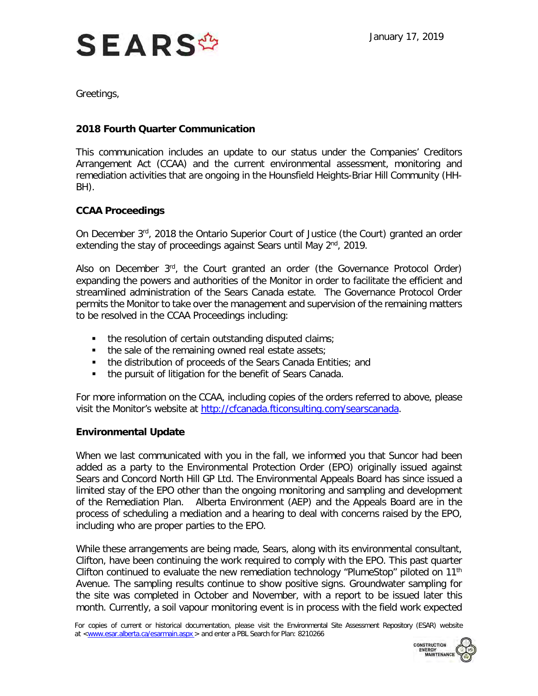

Greetings,

## **2018 Fourth Quarter Communication**

This communication includes an update to our status under the Companies' Creditors Arrangement Act (CCAA) and the current environmental assessment, monitoring and remediation activities that are ongoing in the Hounsfield Heights-Briar Hill Community (HH-BH).

## **CCAA Proceedings**

On December  $3<sup>rd</sup>$ , 2018 the Ontario Superior Court of Justice (the Court) granted an order extending the stay of proceedings against Sears until May 2<sup>nd</sup>, 2019.

Also on December 3rd, the Court granted an order (the Governance Protocol Order) expanding the powers and authorities of the Monitor in order to facilitate the efficient and streamlined administration of the Sears Canada estate. The Governance Protocol Order permits the Monitor to take over the management and supervision of the remaining matters to be resolved in the CCAA Proceedings including:

- the resolution of certain outstanding disputed claims;
- $\blacksquare$  the sale of the remaining owned real estate assets;
- **the distribution of proceeds of the Sears Canada Entities; and**
- the pursuit of litigation for the benefit of Sears Canada.

For more information on the CCAA, including copies of the orders referred to above, please visit the Monitor's website at [http://cfcanada.fticonsulting.com/searscanada.](http://cfcanada.fticonsulting.com/searscanada)

## **Environmental Update**

When we last communicated with you in the fall, we informed you that Suncor had been added as a party to the Environmental Protection Order (EPO) originally issued against Sears and Concord North Hill GP Ltd. The Environmental Appeals Board has since issued a limited stay of the EPO other than the ongoing monitoring and sampling and development of the Remediation Plan. Alberta Environment (AEP) and the Appeals Board are in the process of scheduling a mediation and a hearing to deal with concerns raised by the EPO, including who are proper parties to the EPO.

While these arrangements are being made, Sears, along with its environmental consultant, Clifton, have been continuing the work required to comply with the EPO. This past quarter Clifton continued to evaluate the new remediation technology "PlumeStop" piloted on  $11<sup>th</sup>$ Avenue. The sampling results continue to show positive signs. Groundwater sampling for the site was completed in October and November, with a report to be issued later this month. Currently, a soil vapour monitoring event is in process with the field work expected

For copies of current or historical documentation, please visit the Environmental Site Assessment Repository (ESAR) website at [<www.esar.alberta.ca/esarmain.aspx](http://www.esar.alberta.ca/esarmain.aspx) > and enter a PBL Search for Plan: 8210266